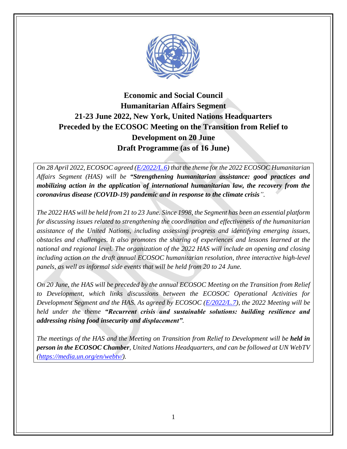

# **Economic and Social Council Humanitarian Affairs Segment 21-23 June 2022, New York, United Nations Headquarters Preceded by the ECOSOC Meeting on the Transition from Relief to Development on 20 June Draft Programme (as of 16 June)**

*On 28 April 2022, ECOSOC agreed [\(E/2022/L.6\)](https://undocs.org/e/2022/l.6) that the theme for the 2022 ECOSOC Humanitarian Affairs Segment (HAS) will be "Strengthening humanitarian assistance: good practices and mobilizing action in the application of international humanitarian law, the recovery from the coronavirus disease (COVID-19) pandemic and in response to the climate crisis".*

*The 2022 HAS will be held from 21 to 23 June. Since 1998, the Segment has been an essential platform for discussing issues related to strengthening the coordination and effectiveness of the humanitarian assistance of the United Nations, including assessing progress and identifying emerging issues, obstacles and challenges. It also promotes the sharing of experiences and lessons learned at the national and regional level. The organization of the 2022 HAS will include an opening and closing including action on the draft annual ECOSOC humanitarian resolution, three interactive high-level panels, as well as informal side events that will be held from 20 to 24 June.* 

*On 20 June, the HAS will be preceded by the annual ECOSOC Meeting on the Transition from Relief to Development, which links discussions between the ECOSOC Operational Activities for Development Segment and the HAS. As agreed by ECOSOC [\(E/2022/L.7\)](https://undocs.org/e/2022/l.7), the 2022 Meeting will be held under the theme "Recurrent crisis and sustainable solutions: building resilience and addressing rising food insecurity and displacement".*

*The meetings of the HAS and the Meeting on Transition from Relief to Development will be held in person in the ECOSOC Chamber, United Nations Headquarters, and can be followed at UN WebTV [\(https://media.un.org/en/webtv/\)](https://media.un.org/en/webtv/).*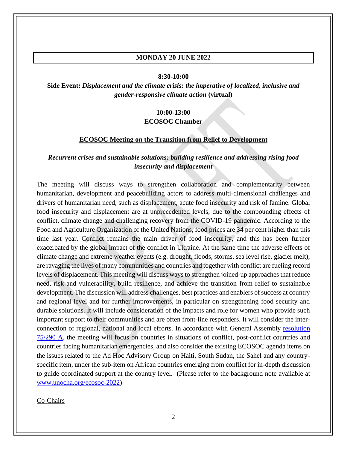#### **MONDAY 20 JUNE 2022**

#### **8:30-10:00**

**Side Event:** *Displacement and the climate crisis: the imperative of localized, inclusive and gender-responsive climate action* **(virtual)**

#### **10:00-13:00**

#### **ECOSOC Chamber**

#### **ECOSOC Meeting on the Transition from Relief to Development**

### *Recurrent crises and sustainable solutions: building resilience and addressing rising food insecurity and displacement*

The meeting will discuss ways to strengthen collaboration and complementarity between humanitarian, development and peacebuilding actors to address multi-dimensional challenges and drivers of humanitarian need, such as displacement, acute food insecurity and risk of famine. Global food insecurity and displacement are at unprecedented levels, due to the compounding effects of conflict, climate change and challenging recovery from the COVID-19 pandemic. According to the Food and Agriculture Organization of the United Nations, food prices are 34 per cent higher than this time last year. Conflict remains the main driver of food insecurity, and this has been further exacerbated by the global impact of the conflict in Ukraine. At the same time the adverse effects of climate change and extreme weather events (e.g. drought, floods, storms, sea level rise, glacier melt), are ravaging the lives of many communities and countries and together with conflict are fueling record levels of displacement. This meeting will discuss ways to strengthen joined-up approaches that reduce need, risk and vulnerability, build resilience, and achieve the transition from relief to sustainable development. The discussion will address challenges, best practices and enablers of success at country and regional level and for further improvements, in particular on strengthening food security and durable solutions. It will include consideration of the impacts and role for women who provide such important support to their communities and are often front-line responders. It will consider the interconnection of regional, national and local efforts. In accordance with General Assembly [resolution](https://undocs.org/en/A/RES/75/290A)  [75/290 A,](https://undocs.org/en/A/RES/75/290A) the meeting will focus on countries in situations of conflict, post-conflict countries and countries facing humanitarian emergencies, and also consider the existing ECOSOC agenda items on the issues related to the Ad Hoc Advisory Group on Haiti, South Sudan, the Sahel and any countryspecific item, under the sub-item on African countries emerging from conflict for in-depth discussion to guide coordinated support at the country level. (Please refer to the background note available at [www.unocha.org/ecosoc-2022\)](http://www.unocha.org/ecosoc-2022)

Co-Chairs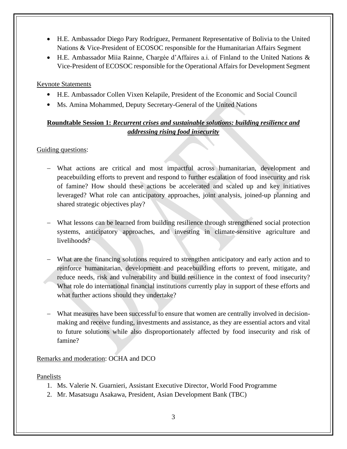- H.E. Ambassador Diego Pary Rodríguez, Permanent Representative of Bolivia to the United Nations & Vice-President of ECOSOC responsible for the Humanitarian Affairs Segment
- H.E. Ambassador Miia Rainne, Chargée d'Affaires a.i. of Finland to the United Nations & Vice-President of ECOSOC responsible for the Operational Affairs for Development Segment

### Keynote Statements

- H.E. Ambassador Collen Vixen Kelapile, President of the Economic and Social Council
- Ms. Amina Mohammed, Deputy Secretary-General of the United Nations

## **Roundtable Session 1:** *Recurrent crises and sustainable solutions: building resilience and addressing rising food insecurity*

### Guiding questions:

- − What actions are critical and most impactful across humanitarian, development and peacebuilding efforts to prevent and respond to further escalation of food insecurity and risk of famine? How should these actions be accelerated and scaled up and key initiatives leveraged? What role can anticipatory approaches, joint analysis, joined-up planning and shared strategic objectives play?
- What lessons can be learned from building resilience through strengthened social protection systems, anticipatory approaches, and investing in climate-sensitive agriculture and livelihoods?
- − What are the financing solutions required to strengthen anticipatory and early action and to reinforce humanitarian, development and peacebuilding efforts to prevent, mitigate, and reduce needs, risk and vulnerability and build resilience in the context of food insecurity? What role do international financial institutions currently play in support of these efforts and what further actions should they undertake?
- What measures have been successful to ensure that women are centrally involved in decisionmaking and receive funding, investments and assistance, as they are essential actors and vital to future solutions while also disproportionately affected by food insecurity and risk of famine?

## Remarks and moderation: OCHA and DCO

Panelists

- 1. Ms. Valerie N. Guarnieri, Assistant Executive Director, World Food Programme
- 2. Mr. Masatsugu Asakawa, President, Asian Development Bank (TBC)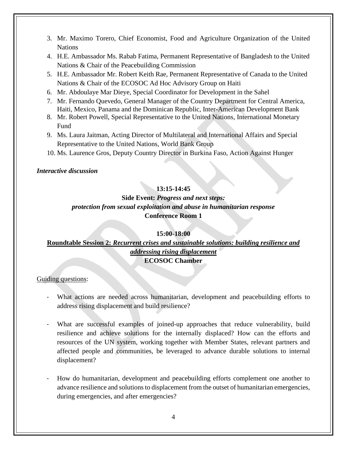- 3. Mr. Maximo Torero, Chief Economist, Food and Agriculture Organization of the United Nations
- 4. H.E. Ambassador Ms. Rabab Fatima, Permanent Representative of Bangladesh to the United Nations & Chair of the Peacebuilding Commission
- 5. H.E. Ambassador Mr. Robert Keith Rae, Permanent Representative of Canada to the United Nations & Chair of the ECOSOC Ad Hoc Advisory Group on Haiti
- 6. Mr. Abdoulaye Mar Dieye, Special Coordinator for Development in the Sahel
- 7. Mr. Fernando Quevedo, General Manager of the Country Department for Central America, Haiti, Mexico, Panama and the Dominican Republic, Inter-American Development Bank
- 8. Mr. Robert Powell, Special Representative to the United Nations, International Monetary Fund
- 9. Ms. Laura Jaitman, Acting Director of Multilateral and International Affairs and Special Representative to the United Nations, World Bank Group
- 10. Ms. Laurence Gros, Deputy Country Director in Burkina Faso, Action Against Hunger

#### *Interactive discussion*

### **13:15-14:45**

## **Side Event:** *Progress and next steps: protection from sexual exploitation and abuse in humanitarian response* **Conference Room 1**

#### **15:00-18:00**

### **Roundtable Session 2:** *Recurrent crises and sustainable solutions: building resilience and addressing rising displacement* **ECOSOC Chamber**

#### Guiding questions:

- What actions are needed across humanitarian, development and peacebuilding efforts to address rising displacement and build resilience?
- What are successful examples of joined-up approaches that reduce vulnerability, build resilience and achieve solutions for the internally displaced? How can the efforts and resources of the UN system, working together with Member States, relevant partners and affected people and communities, be leveraged to advance durable solutions to internal displacement?
- How do humanitarian, development and peacebuilding efforts complement one another to advance resilience and solutions to displacement from the outset of humanitarian emergencies, during emergencies, and after emergencies?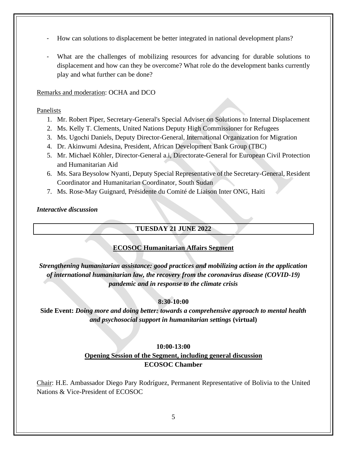- How can solutions to displacement be better integrated in national development plans?
- What are the challenges of mobilizing resources for advancing for durable solutions to displacement and how can they be overcome? What role do the development banks currently play and what further can be done?

#### Remarks and moderation: OCHA and DCO

#### Panelists

- 1. Mr. Robert Piper, Secretary-General's Special Adviser on Solutions to Internal Displacement
- 2. Ms. Kelly T. Clements, United Nations Deputy High Commissioner for Refugees
- 3. Ms. Ugochi Daniels, Deputy Director-General, International Organization for Migration
- 4. Dr. Akinwumi Adesina, President, African Development Bank Group (TBC)
- 5. Mr. Michael Köhler, Director-General a.i, Directorate-General for European Civil Protection and Humanitarian Aid
- 6. Ms. Sara Beysolow Nyanti, Deputy Special Representative of the Secretary-General, Resident Coordinator and Humanitarian Coordinator, South Sudan
- 7. Ms. Rose-May Guignard, Présidente du Comité de Liaison Inter ONG, Haiti

#### *Interactive discussion*

### **TUESDAY 21 JUNE 2022**

## **ECOSOC Humanitarian Affairs Segment**

*Strengthening humanitarian assistance: good practices and mobilizing action in the application of international humanitarian law, the recovery from the coronavirus disease (COVID-19) pandemic and in response to the climate crisis*

## **8:30-10:00**

**Side Event:** *Doing more and doing better: towards a comprehensive approach to mental health and psychosocial support in humanitarian settings* **(virtual)**

#### **10:00-13:00**

## **Opening Session of the Segment, including general discussion ECOSOC Chamber**

Chair: H.E. Ambassador Diego Pary Rodríguez, Permanent Representative of Bolivia to the United Nations & Vice-President of ECOSOC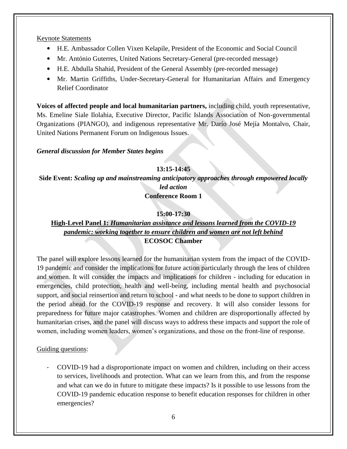#### Keynote Statements

- H.E. Ambassador Collen Vixen Kelapile, President of the Economic and Social Council
- Mr. António Guterres, United Nations Secretary-General (pre-recorded message)
- H.E. Abdulla Shahid, President of the General Assembly (pre-recorded message)
- Mr. Martin Griffiths, Under-Secretary-General for Humanitarian Affairs and Emergency Relief Coordinator

**Voices of affected people and local humanitarian partners,** including child, youth representative, Ms. Emeline Siale Ilolahia, Executive Director, Pacific Islands Association of Non-governmental Organizations (PIANGO), and indigenous representative Mr. Darío José Mejía Montalvo, Chair, United Nations Permanent Forum on Indigenous Issues.

#### *General discussion for Member States begins*

## **13:15-14:45**

**Side Event:** *Scaling up and mainstreaming anticipatory approaches through empowered locally led action*

**Conference Room 1**

#### **15:00-17:30**

## **High-Level Panel 1:** *Humanitarian assistance and lessons learned from the COVID-19 pandemic: working together to ensure children and women are not left behind* **ECOSOC Chamber**

The panel will explore lessons learned for the humanitarian system from the impact of the COVID-19 pandemic and consider the implications for future action particularly through the lens of children and women. It will consider the impacts and implications for children - including for education in emergencies, child protection, health and well-being, including mental health and psychosocial support, and social reinsertion and return to school - and what needs to be done to support children in the period ahead for the COVID-19 response and recovery. It will also consider lessons for preparedness for future major catastrophes. Women and children are disproportionally affected by humanitarian crises, and the panel will discuss ways to address these impacts and support the role of women, including women leaders, women's organizations, and those on the front-line of response.

### Guiding questions:

- COVID-19 had a disproportionate impact on women and children, including on their access to services, livelihoods and protection. What can we learn from this, and from the response and what can we do in future to mitigate these impacts? Is it possible to use lessons from the COVID-19 pandemic education response to benefit education responses for children in other emergencies?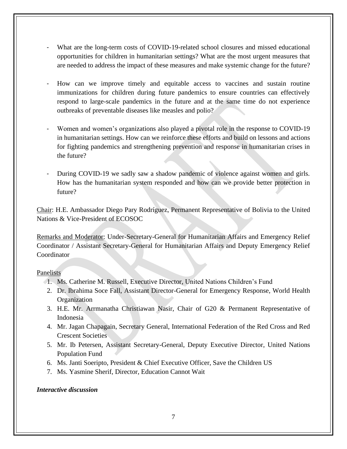- What are the long-term costs of COVID-19-related school closures and missed educational opportunities for children in humanitarian settings? What are the most urgent measures that are needed to address the impact of these measures and make systemic change for the future?
- How can we improve timely and equitable access to vaccines and sustain routine immunizations for children during future pandemics to ensure countries can effectively respond to large-scale pandemics in the future and at the same time do not experience outbreaks of preventable diseases like measles and polio?
- Women and women's organizations also played a pivotal role in the response to COVID-19 in humanitarian settings. How can we reinforce these efforts and build on lessons and actions for fighting pandemics and strengthening prevention and response in humanitarian crises in the future?
- During COVID-19 we sadly saw a shadow pandemic of violence against women and girls. How has the humanitarian system responded and how can we provide better protection in future?

Chair: H.E. Ambassador Diego Pary Rodríguez, Permanent Representative of Bolivia to the United Nations & Vice-President of ECOSOC

Remarks and Moderator: Under-Secretary-General for Humanitarian Affairs and Emergency Relief Coordinator / Assistant Secretary-General for Humanitarian Affairs and Deputy Emergency Relief **Coordinator** 

#### Panelists

- 1. Ms. Catherine M. Russell, Executive Director, United Nations Children's Fund
- 2. Dr. Ibrahima Soce Fall, Assistant Director-General for Emergency Response, World Health **Organization**
- 3. H.E. Mr. Arrmanatha Christiawan Nasir, Chair of G20 & Permanent Representative of Indonesia
- 4. Mr. Jagan Chapagain, Secretary General, International Federation of the Red Cross and Red Crescent Societies
- 5. Mr. Ib Petersen, Assistant Secretary-General, Deputy Executive Director, United Nations Population Fund
- 6. Ms. Janti Soeripto, President & Chief Executive Officer, Save the Children US
- 7. Ms. Yasmine Sherif, Director, Education Cannot Wait

## *Interactive discussion*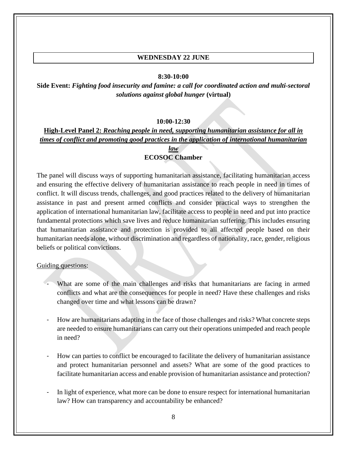### **WEDNESDAY 22 JUNE**

#### **8:30-10:00**

**Side Event:** *Fighting food insecurity and famine: a call for coordinated action and multi-sectoral solutions against global hunger* **(virtual)**

#### **10:00-12:30**

## **High-Level Panel 2:** *Reaching people in need, supporting humanitarian assistance for all in times of conflict and promoting good practices in the application of international humanitarian*

### *law* **ECOSOC Chamber**

The panel will discuss ways of supporting humanitarian assistance, facilitating humanitarian access and ensuring the effective delivery of humanitarian assistance to reach people in need in times of conflict. It will discuss trends, challenges, and good practices related to the delivery of humanitarian assistance in past and present armed conflicts and consider practical ways to strengthen the application of international humanitarian law, facilitate access to people in need and put into practice fundamental protections which save lives and reduce humanitarian suffering. This includes ensuring that humanitarian assistance and protection is provided to all affected people based on their humanitarian needs alone, without discrimination and regardless of nationality, race, gender, religious beliefs or political convictions.

#### Guiding questions:

- What are some of the main challenges and risks that humanitarians are facing in armed conflicts and what are the consequences for people in need? Have these challenges and risks changed over time and what lessons can be drawn?
- How are humanitarians adapting in the face of those challenges and risks? What concrete steps are needed to ensure humanitarians can carry out their operations unimpeded and reach people in need?
- How can parties to conflict be encouraged to facilitate the delivery of humanitarian assistance and protect humanitarian personnel and assets? What are some of the good practices to facilitate humanitarian access and enable provision of humanitarian assistance and protection?
- In light of experience, what more can be done to ensure respect for international humanitarian law? How can transparency and accountability be enhanced?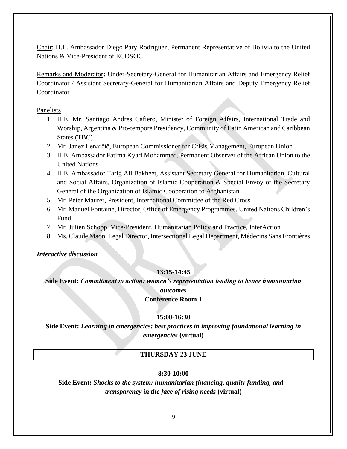Chair: H.E. Ambassador Diego Pary Rodríguez, Permanent Representative of Bolivia to the United Nations & Vice-President of ECOSOC

Remarks and Moderator**:** Under-Secretary-General for Humanitarian Affairs and Emergency Relief Coordinator / Assistant Secretary-General for Humanitarian Affairs and Deputy Emergency Relief **Coordinator** 

Panelists

- 1. H.E. Mr. Santiago Andres Cafiero, Minister of Foreign Affairs, International Trade and Worship, Argentina & Pro-tempore Presidency, Community of Latin American and Caribbean States (TBC)
- 2. Mr. Janez Lenarčič, European Commissioner for Crisis Management, European Union
- 3. H.E. Ambassador Fatima Kyari Mohammed, Permanent Observer of the African Union to the United Nations
- 4. H.E. Ambassador Tarig Ali Bakheet, Assistant Secretary General for Humanitarian, Cultural and Social Affairs, Organization of Islamic Cooperation & Special Envoy of the Secretary General of the Organization of Islamic Cooperation to Afghanistan
- 5. Mr. Peter Maurer, President, International Committee of the Red Cross
- 6. Mr. Manuel Fontaine, Director, Office of Emergency Programmes, United Nations Children's Fund
- 7. Mr. Julien Schopp, Vice-President, Humanitarian Policy and Practice, InterAction
- 8. Ms. Claude Maon, Legal Director, Intersectional Legal Department, Médecins Sans Frontières

*Interactive discussion*

## **13:15-14:45**

# **Side Event:** *Commitment to action: women's representation leading to better humanitarian outcomes*

### **Conference Room 1**

### **15:00-16:30**

**Side Event:** *Learning in emergencies: best practices in improving foundational learning in emergencies* **(virtual)**

## **THURSDAY 23 JUNE**

### **8:30-10:00**

**Side Event:** *Shocks to the system: humanitarian financing, quality funding, and transparency in the face of rising needs* **(virtual)**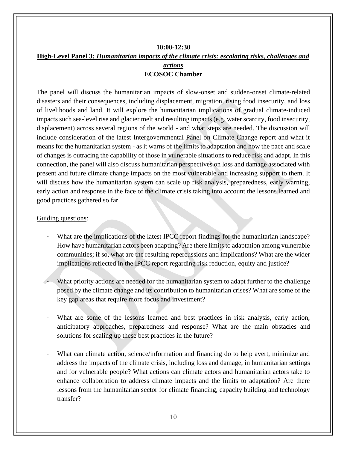### **10:00-12:30 High-Level Panel 3:** *Humanitarian impacts of the climate crisis: escalating risks, challenges and actions* **ECOSOC Chamber**

The panel will discuss the humanitarian impacts of slow-onset and sudden-onset climate-related disasters and their consequences, including displacement, migration, rising food insecurity, and loss of livelihoods and land. It will explore the humanitarian implications of gradual climate-induced impacts such sea-level rise and glacier melt and resulting impacts (e.g. water scarcity, food insecurity, displacement) across several regions of the world - and what steps are needed. The discussion will include consideration of the latest Intergovernmental Panel on Climate Change report and what it means for the humanitarian system - as it warns of the limits to adaptation and how the pace and scale of changes is outracing the capability of those in vulnerable situations to reduce risk and adapt. In this connection, the panel will also discuss humanitarian perspectives on loss and damage associated with present and future climate change impacts on the most vulnerable and increasing support to them. It will discuss how the humanitarian system can scale up risk analysis, preparedness, early warning, early action and response in the face of the climate crisis taking into account the lessons learned and good practices gathered so far.

### Guiding questions:

- What are the implications of the latest IPCC report findings for the humanitarian landscape? How have humanitarian actors been adapting? Are there limits to adaptation among vulnerable communities; if so, what are the resulting repercussions and implications? What are the wider implications reflected in the IPCC report regarding risk reduction, equity and justice?
- What priority actions are needed for the humanitarian system to adapt further to the challenge posed by the climate change and its contribution to humanitarian crises? What are some of the key gap areas that require more focus and investment?
- What are some of the lessons learned and best practices in risk analysis, early action, anticipatory approaches, preparedness and response? What are the main obstacles and solutions for scaling up these best practices in the future?
- What can climate action, science/information and financing do to help avert, minimize and address the impacts of the climate crisis, including loss and damage, in humanitarian settings and for vulnerable people? What actions can climate actors and humanitarian actors take to enhance collaboration to address climate impacts and the limits to adaptation? Are there lessons from the humanitarian sector for climate financing, capacity building and technology transfer?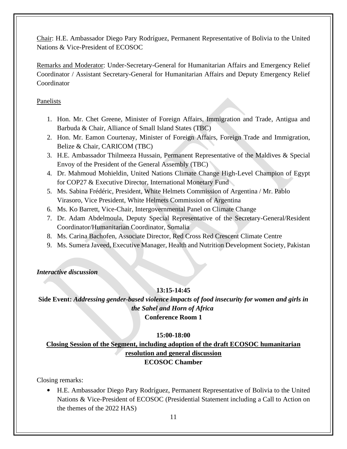Chair: H.E. Ambassador Diego Pary Rodríguez, Permanent Representative of Bolivia to the United Nations & Vice-President of ECOSOC

Remarks and Moderator: Under-Secretary-General for Humanitarian Affairs and Emergency Relief Coordinator / Assistant Secretary-General for Humanitarian Affairs and Deputy Emergency Relief Coordinator

### Panelists

- 1. Hon. Mr. Chet Greene, Minister of Foreign Affairs, Immigration and Trade, Antigua and Barbuda & Chair, Alliance of Small Island States (TBC)
- 2. Hon. Mr. Eamon Courtenay, Minister of Foreign Affairs, Foreign Trade and Immigration, Belize & Chair, CARICOM (TBC)
- 3. H.E. Ambassador Thilmeeza Hussain, Permanent Representative of the Maldives & Special Envoy of the President of the General Assembly (TBC)
- 4. Dr. Mahmoud Mohieldin, United Nations Climate Change High-Level Champion of Egypt for COP27 & Executive Director, International Monetary Fund
- 5. Ms. Sabina Frédéric, President, White Helmets Commission of Argentina / Mr. Pablo Virasoro, Vice President, White Helmets Commission of Argentina
- 6. Ms. Ko Barrett, Vice-Chair, Intergovernmental Panel on Climate Change
- 7. Dr. Adam Abdelmoula, Deputy Special Representative of the Secretary-General/Resident Coordinator/Humanitarian Coordinator, Somalia
- 8. Ms. Carina Bachofen, Associate Director, Red Cross Red Crescent Climate Centre
- 9. Ms. Sumera Javeed, Executive Manager, Health and Nutrition Development Society, Pakistan

### *Interactive discussion*

## **13:15-14:45**

**Side Event:** *Addressing gender-based violence impacts of food insecurity for women and girls in the Sahel and Horn of Africa* **Conference Room 1**

### **15:00-18:00**

**Closing Session of the Segment, including adoption of the draft ECOSOC humanitarian resolution and general discussion ECOSOC Chamber**

Closing remarks:

• H.E. Ambassador Diego Pary Rodríguez, Permanent Representative of Bolivia to the United Nations & Vice-President of ECOSOC (Presidential Statement including a Call to Action on the themes of the 2022 HAS)